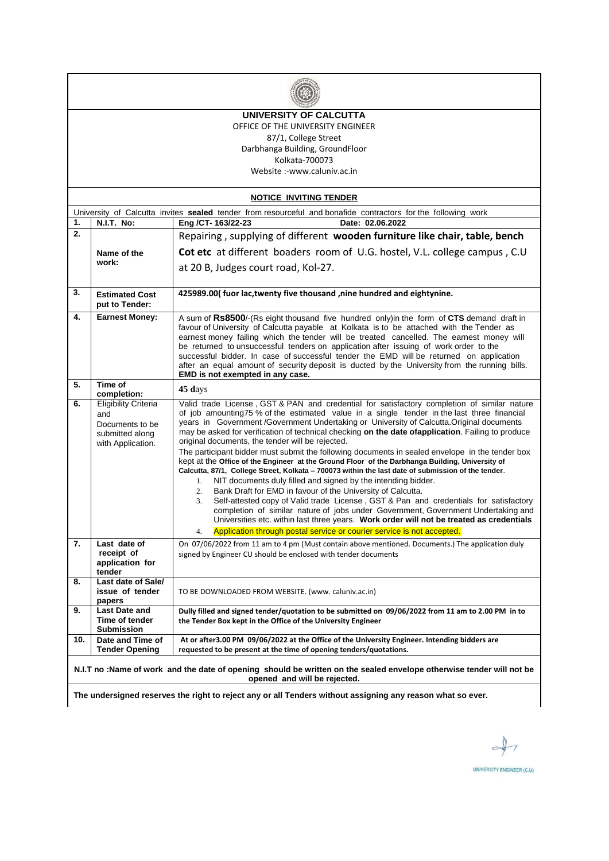

#### **UNIVERSITY OF CALCUTTA** OFFICE OF THE UNIVERSITY ENGINEER 87/1, College Street

Darbhanga Building, GroundFloor Kolkata-700073 Website :-www.caluniv.ac.in

**NOTICE INVITING TENDER** University of Calcutta invites **sealed** tender from resourceful and bonafide contractors for the following work **1. N.I.T. No: Eng /CT- 163/22-23 Date: 02.06.2022 2. Name of the work:** Repairing , supplying of different **wooden furniture like chair, table, bench Cot etc** at different boaders room of U.G. hostel, V.L. college campus , C.U at 20 B, Judges court road, Kol-27. **3. Estimated Cost put to Tender: 425989.00( fuor lac,twenty five thousand ,nine hundred and eightynine. 4. Earnest Money:** A sum of **Rs8500**/-(Rs eight thousand five hundred only)in the form of **CTS** demand draft in favour of University of Calcutta payable at Kolkata is to be attached with the Tender as earnest money failing which the tender will be treated cancelled. The earnest money will be returned to unsuccessful tenders on application after issuing of work order to the successful bidder. In case of successful tender the EMD will be returned on application after an equal amount of security deposit is ducted by the University from the running bills. **EMD is not exempted in any case. 5. Time of completion: 45 d**ays **6.** Eligibility Criteria and Documents to be submitted along with Application. Valid trade License , GST & PAN and credential for satisfactory completion of similar nature of job amounting75 % of the estimated value in a single tender in the last three financial years in Government /Government Undertaking or University of Calcutta.Original documents may be asked for verification of technical checking **on the date ofapplication**. Failing to produce original documents, the tender will be rejected. The participant bidder must submit the following documents in sealed envelope in the tender box kept at the **Office of the Engineer at the Ground Floor of the Darbhanga Building, University of Calcutta, 87/1, College Street, Kolkata – 700073 within the last date of submission of the tender**. 1. NIT documents duly filled and signed by the intending bidder. 2. Bank Draft for EMD in favour of the University of Calcutta. 3. Self-attested copy of Valid trade License , GST & Pan and credentials for satisfactory completion of similar nature of jobs under Government, Government Undertaking and Universities etc. within last three years. **Work order will not be treated as credentials** 4. Application through postal service or courier service is not accepted. **7. Last date of receipt of application for tender** On 07/06/2022 from 11 am to 4 pm (Must contain above mentioned. Documents.) The application duly signed by Engineer CU should be enclosed with tender documents **8. Last date of Sale/ issue of tender papers** TO BE DOWNLOADED FROM WEBSITE. (www. caluniv.ac.in) **9. Last Date and Time of tender Submission Dully filled and signed tender/quotation to be submitted on 09/06/2022 from 11 am to 2.00 PM in to the Tender Box kept in the Office of the University Engineer 10. Date and Time of Tender Opening At or after3.00 PM 09/06/2022 at the Office of the University Engineer. Intending bidders are requested to be present at the time of opening tenders/quotations. N.I.T no :Name of work and the date of opening should be written on the sealed envelope otherwise tender will not be opened and will be rejected.**

**The undersigned reserves the right to reject any or all Tenders without assigning any reason what so ever.**

UNIVERSITY ENGINEER (C.U)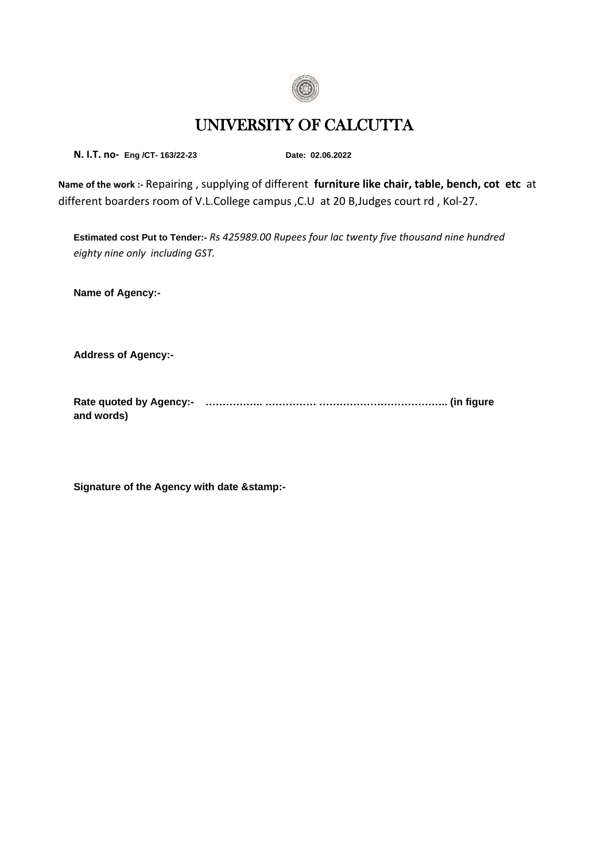

# UNIVERSITY OF CALCUTTA

**N. I.T. no- Eng /CT- 163/22-23 Date: 02.06.2022**

**Name of the work :-** Repairing , supplying of different **furniture like chair, table, bench, cot etc** at different boarders room of V.L.College campus ,C.U at 20 B,Judges court rd , Kol-27.

**Estimated cost Put to Tender:-** *Rs 425989.00 Rupees four lac twenty five thousand nine hundred eighty nine only including GST.*

**Name of Agency:-**

**Address of Agency:-**

**Rate quoted by Agency:- …………….. …………… ……………………………….. (in figure and words)**

**Signature of the Agency with date &stamp:-**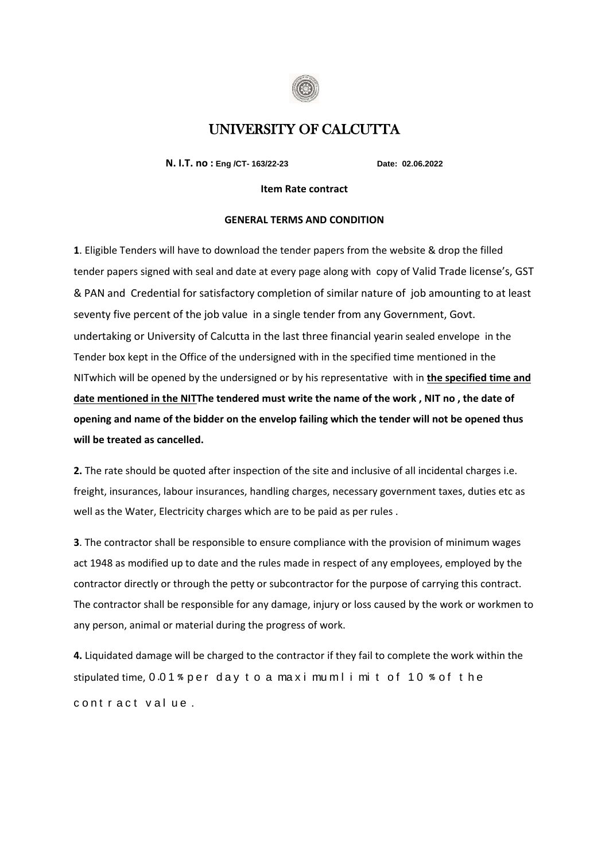

## UNIVERSITY OF CALCUTTA

**N. I.T. no : Eng /CT- 163/22-23 Date: 02.06.2022**

#### **Item Rate contract**

#### **GENERAL TERMS AND CONDITION**

**1**. Eligible Tenders will have to download the tender papers from the website & drop the filled tender papers signed with seal and date at every page along with copy of Valid Trade license's, GST & PAN and Credential for satisfactory completion of similar nature of job amounting to at least seventy five percent of the job value in a single tender from any Government, Govt. undertaking or University of Calcutta in the last three financial yearin sealed envelope in the Tender box kept in the Office of the undersigned with in the specified time mentioned in the NITwhich will be opened by the undersigned or by his representative with in **the specified time and date mentioned in the NITThe tendered must write the name of the work , NIT no , the date of opening and name of the bidder on the envelop failing which the tender will not be opened thus will be treated as cancelled.**

**2.** The rate should be quoted after inspection of the site and inclusive of all incidental charges i.e. freight, insurances, labour insurances, handling charges, necessary government taxes, duties etc as well as the Water, Electricity charges which are to be paid as per rules .

**3**. The contractor shall be responsible to ensure compliance with the provision of minimum wages act 1948 as modified up to date and the rules made in respect of any employees, employed by the contractor directly or through the petty or subcontractor for the purpose of carrying this contract. The contractor shall be responsible for any damage, injury or loss caused by the work or workmen to any person, animal or material during the progress of work.

**4.** Liquidated damage will be charged to the contractor if they fail to complete the work within the stipulated time,  $0.01\%$  per day to a maximum l i mit of 10 % of the contract value.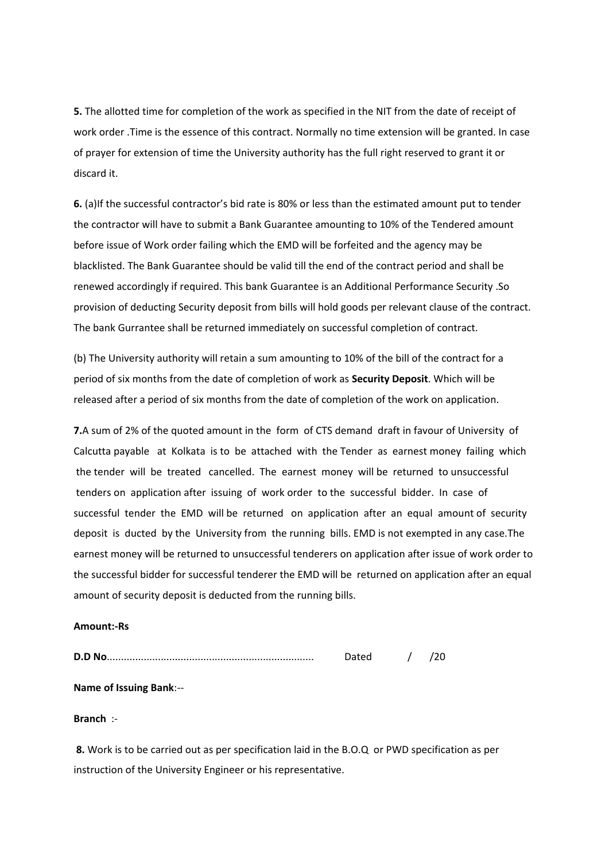**5.** The allotted time for completion of the work as specified in the NIT from the date of receipt of work order .Time is the essence of this contract. Normally no time extension will be granted. In case of prayer for extension of time the University authority has the full right reserved to grant it or discard it.

**6.** (a)If the successful contractor's bid rate is 80% or less than the estimated amount put to tender the contractor will have to submit a Bank Guarantee amounting to 10% of the Tendered amount before issue of Work order failing which the EMD will be forfeited and the agency may be blacklisted. The Bank Guarantee should be valid till the end of the contract period and shall be renewed accordingly if required. This bank Guarantee is an Additional Performance Security .So provision of deducting Security deposit from bills will hold goods per relevant clause of the contract. The bank Gurrantee shall be returned immediately on successful completion of contract.

(b) The University authority will retain a sum amounting to 10% of the bill of the contract for a period of six months from the date of completion of work as **Security Deposit**. Which will be released after a period of six months from the date of completion of the work on application.

**7.**A sum of 2% of the quoted amount in the form of CTS demand draft in favour of University of Calcutta payable at Kolkata is to be attached with the Tender as earnest money failing which the tender will be treated cancelled. The earnest money will be returned to unsuccessful tenders on application after issuing of work order to the successful bidder. In case of successful tender the EMD will be returned on application after an equal amount of security deposit is ducted by the University from the running bills. EMD is not exempted in any case.The earnest money will be returned to unsuccessful tenderers on application after issue of work order to the successful bidder for successful tenderer the EMD will be returned on application after an equal amount of security deposit is deducted from the running bills.

#### **Amount:-Rs**

| <b>D.D No</b> |  |  |  |
|---------------|--|--|--|
|---------------|--|--|--|

#### **Name of Issuing Bank**:--

#### **Branch** :-

**8.** Work is to be carried out as per specification laid in the B.O.Q or PWD specification as per instruction of the University Engineer or his representative.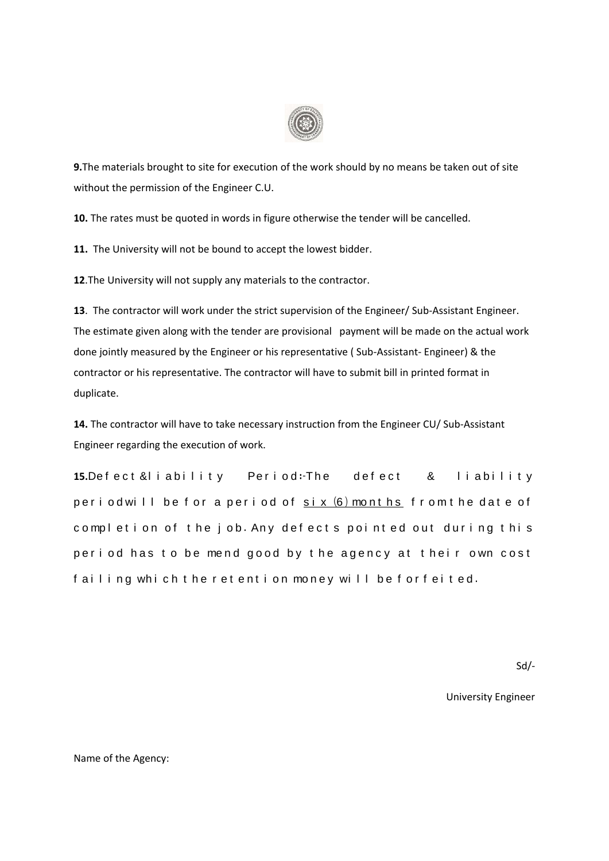

**9.**The materials brought to site for execution of the work should by no means be taken out of site without the permission of the Engineer C.U.

**10.** The rates must be quoted in words in figure otherwise the tender will be cancelled.

**11.** The University will not be bound to accept the lowest bidder.

**12**.The University will not supply any materials to the contractor.

**13**. The contractor will work under the strict supervision of the Engineer/ Sub-Assistant Engineer. The estimate given along with the tender are provisional payment will be made on the actual work done jointly measured by the Engineer or his representative ( Sub-Assistant- Engineer) & the contractor or his representative. The contractor will have to submit bill in printed format in duplicate.

**14.** The contractor will have to take necessary instruction from the Engineer CU/ Sub-Assistant Engineer regarding the execution of work.

**15.**Defect & liability Period: The defect & liability p e r i o d will be for a period of  $s$ ix  $(6)$  months from the date of completion of the job. Any defects pointed out during this period has to be mend good by the agency at their own cost failing which the retention money will be forfeited.

Sd/-

University Engineer

Name of the Agency: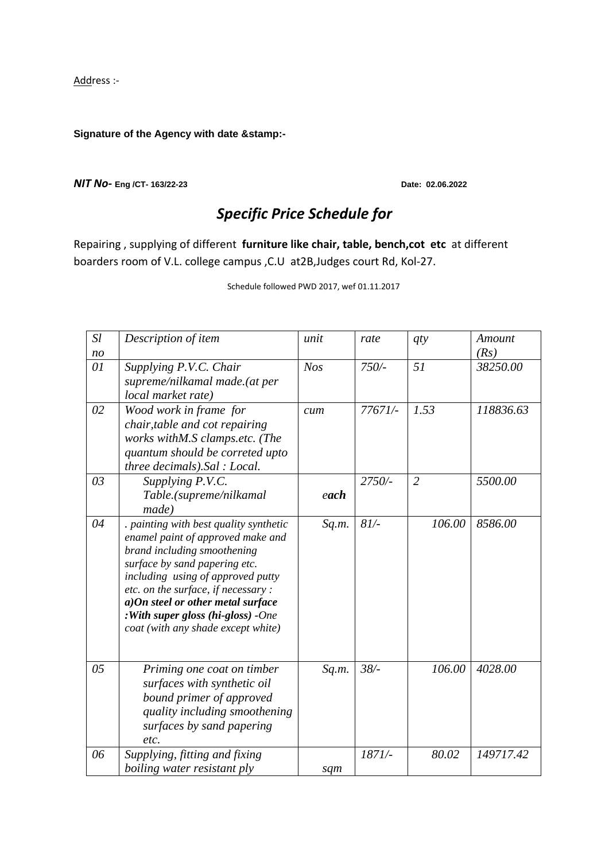Address :-

### **Signature of the Agency with date &stamp:-**

#### *NIT No-* **Eng /CT- 163/22-23 Date: 02.06.2022**

## *Specific Price Schedule for*

Repairing , supplying of different **furniture like chair, table, bench,cot etc** at different boarders room of V.L. college campus ,C.U at2B,Judges court Rd, Kol-27.

Schedule followed PWD 2017, wef 01.11.2017

| Sl             | Description of item                                                                                                                                                                                                                                                                                                                     | unit       | rate      | qty            | Amount    |
|----------------|-----------------------------------------------------------------------------------------------------------------------------------------------------------------------------------------------------------------------------------------------------------------------------------------------------------------------------------------|------------|-----------|----------------|-----------|
| n <sub>O</sub> |                                                                                                                                                                                                                                                                                                                                         |            |           |                | (Rs)      |
| 01             | Supplying P.V.C. Chair<br>supreme/nilkamal made.(at per<br>local market rate)                                                                                                                                                                                                                                                           | <b>Nos</b> | $750/-$   | 51             | 38250.00  |
| 02             | Wood work in frame for<br>chair, table and cot repairing<br>works withM.S clamps.etc. (The<br>quantum should be correted upto<br>three decimals).Sal : Local.                                                                                                                                                                           | cum        | 77671/-   | 1.53           | 118836.63 |
| 03             | Supplying P.V.C.<br>Table.(supreme/nilkamal<br>made)                                                                                                                                                                                                                                                                                    | each       | $2750/$ - | $\overline{2}$ | 5500.00   |
| 04             | . painting with best quality synthetic<br>enamel paint of approved make and<br>brand including smoothening<br>surface by sand papering etc.<br>including using of approved putty<br>etc. on the surface, if necessary :<br>a)On steel or other metal surface<br>:With super gloss (hi-gloss) -One<br>coat (with any shade except white) | Sq.m.      | 81/       | 106.00         | 8586.00   |
| 05             | Priming one coat on timber<br>surfaces with synthetic oil<br>bound primer of approved<br>quality including smoothening<br>surfaces by sand papering<br>etc.                                                                                                                                                                             | Sq.m.      | 38/       | 106.00         | 4028.00   |
| 06             | Supplying, fitting and fixing<br>boiling water resistant ply                                                                                                                                                                                                                                                                            | sqm        | 1871/-    | 80.02          | 149717.42 |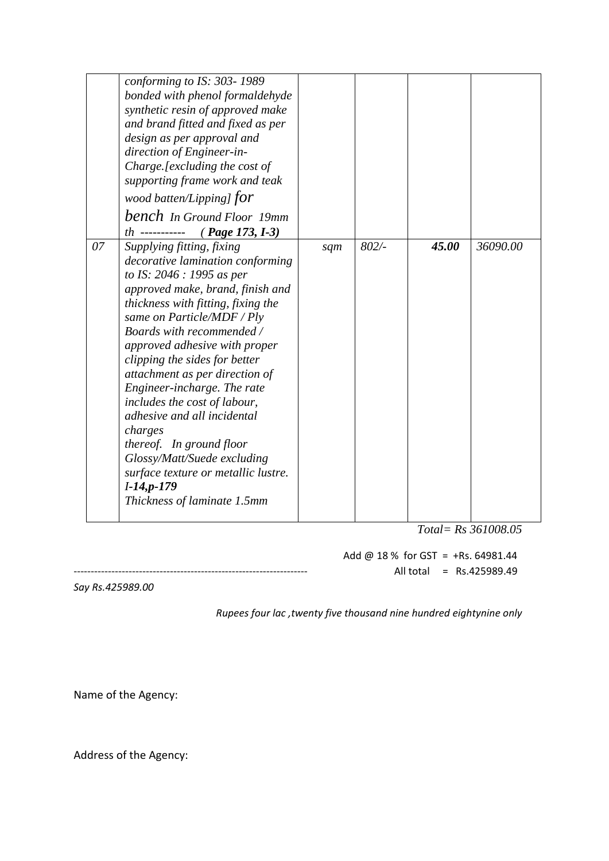|    | conforming to IS: 303-1989<br>bonded with phenol formaldehyde<br>synthetic resin of approved make<br>and brand fitted and fixed as per<br>design as per approval and<br>direction of Engineer-in-<br>Charge.[excluding the cost of<br>supporting frame work and teak                                                                                                                                                                                                                                                                                                                          |     |      |       |          |
|----|-----------------------------------------------------------------------------------------------------------------------------------------------------------------------------------------------------------------------------------------------------------------------------------------------------------------------------------------------------------------------------------------------------------------------------------------------------------------------------------------------------------------------------------------------------------------------------------------------|-----|------|-------|----------|
|    | wood batten/Lipping] $for$<br><b>bench</b> In Ground Floor 19mm<br>$th$ -----------<br>$(Page 173, I-3)$                                                                                                                                                                                                                                                                                                                                                                                                                                                                                      |     |      |       |          |
| 07 | Supplying fitting, fixing<br>decorative lamination conforming<br>to IS: 2046 : 1995 as per<br>approved make, brand, finish and<br>thickness with fitting, fixing the<br>same on Particle/MDF / Ply<br>Boards with recommended /<br>approved adhesive with proper<br>clipping the sides for better<br>attachment as per direction of<br>Engineer-incharge. The rate<br>includes the cost of labour,<br>adhesive and all incidental<br>charges<br>thereof. In ground floor<br>Glossy/Matt/Suede excluding<br>surface texture or metallic lustre.<br>$I-14,p-179$<br>Thickness of laminate 1.5mm | sqm | 802/ | 45.00 | 36090.00 |

 *Total= Rs 361008.05*

Add @  $18\%$  for GST = +Rs. 64981.44 -------------------------------------------------------------------- All total = Rs.425989.49

*Say Rs.425989.00*

 *Rupees four lac ,twenty five thousand nine hundred eightynine only* 

Name of the Agency:

Address of the Agency: